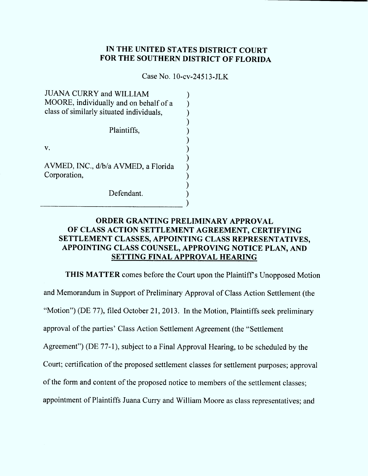# IN THE UNITED STATES DISTRICT COURT FOR THE SOUTHERN DISTRICT OF FLORIDA

Case No. 10-cv-24513-JLK

| <b>JUANA CURRY and WILLIAM</b><br>MOORE, individually and on behalf of a<br>class of similarly situated individuals, |  |
|----------------------------------------------------------------------------------------------------------------------|--|
| Plaintiffs,                                                                                                          |  |
| V.                                                                                                                   |  |
| AVMED, INC., d/b/a AVMED, a Florida<br>Corporation,                                                                  |  |
| Defendant.                                                                                                           |  |

# ORDER GRANTING PRELIMINARY APPROVAL OF CLASS ACTION SETTLEMENT AGREEMENT, CERTIFYING SETTLEMENT CLASSES, APPOINTING CLASS REPRESENTATIVES, APPOINTING CLASS COUNSEL, APPROVING NOTICE PLAN, AND SETTING FINAL APPROVAL HEARING

THIS MATTER comes before the Court upon the Plaintiff's Unopposed Motion and Memorandum in Support of Preliminary Approval of Class Action Settlement (the "Motion") (DE 77), filed October 21, 2013. In the Motion, Plaintiffs seek preliminary approval of the parties' Class Action Settlement Agreement (the "Settlement" Agreemenf') (DE 77-1), subject to a Final Approval Hearing, to be scheduled by the Court; certification of the proposed settlement classes for settlement purposes; approval of the form and content of the proposed notice to members of the settlement classes; appointment of Plaintiffs Juana Curry and William Moore as class representatives; and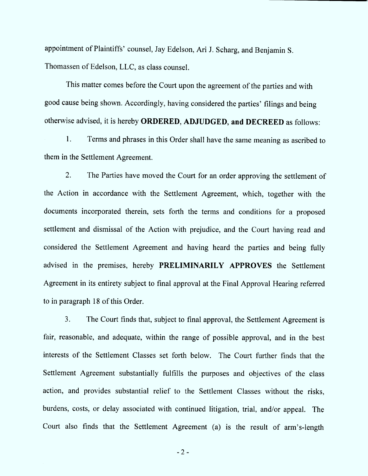appointment of Plaintiffs' counsel, Jay Edelson, Ari J. Scharg, and Benjamin S. Thomassen of Edelson, LLC, as class counsel.

This matter comes before the Court upon the agreement of the parties and with good cause being shown. Accordingly, having considered the parties' filings and being otherwise advised, it is hereby ORDERED, ADJUDGED, and DECREED as follows:

1. Terms and phrases in this Order shall have the same meaning as ascribed to them in the Settlement Agreement.

 $2.$ The Parties have moved the Court for an order approving the settlement of the Action in accordance with the Settlement Agreement, which, together with the documents incorporated therein, sets forth the terms and conditions for a proposed settlement and dismissal of the Action with prejudice, and the Court having read and considered the Settlement Agreement and having heard the parties and being fully advised in the premises, hereby PRELIMINARILY APPROVES the Settlement Agreement in its entirety subject to final approval at the Final Approval Hearing referred to in paragraph 18 of this Order.

 $3<sub>1</sub>$ The Court finds that, subject to final approval, the Settlement Agreement is fair, reasonable, and adequate, within the range of possible approval, and in the best interests of the Settlement Classes set forth below. The Court further finds that the Settlement Agreement substantially fulfills the purposes and objectives of the class action, and provides substantial relief to the Settlement Classes without the risks, burdens, costs, or delay associated with continued litigation, trial, and/or appeal. The Court also finds that the Settlement Agreement (a) is the result of arm's-length

 $-2-$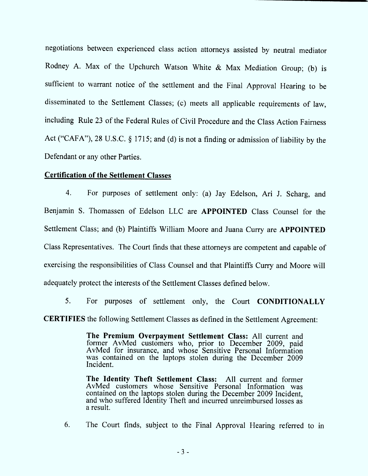negotiations between experienced class action attorneys assisted by neutral mediator Rodney A. Max of the Upchurch Watson White & Max Mediation Group; (b) is sufficient to warrant notice of the settlement and the Final Approval Hearing to be disseminated to the Settlement Classes; (c) meetsall applicable requirements of law, including Rule 23 of the Federal Rules of Civil Procedure and the Class Action Fairness Act ("CAFA"), 28 U.S.C.  $\S$  1715; and (d) is not a finding or admission of liability by the Defendant or any other Parties.

### **Certification of the Settlement Classes**

4. For purposes of settlement only: (a) Jay Edelson, Ari J. Scharg, and Benjamin S. Thomassen of Edelson LLC are APPOINTED Class Counsel for the Settlement Class; and (b) Plaintiffs William Moore and Juana Curry are APPOINTED Class Representatives. The Court finds that these attorneys are competent and capable of exercising the responsibilities of Class Counsel and that Plaintiffs Curry and Moore will adequately protect the interests of the Settlement Classes defined below.

For purposes of settlement only, the Court CONDITIONALLY 5. **CERTIFIES** the following Settlement Classes as defined in the Settlement Agreement:

> The Premium Overpayment Settlement Class: All current and former AvMed customers who, prior to December 2009, paid AvMed for insurance, and whose Sensitive Personal Information was contained on the laptops stolen during the December 2009 lncident.

> The Identity Theft Settlement Class: All current and former AvMed customers whose Sensitive Personal Information was contained on the laptops stolen during the December 2009 Incident, and who suffered Identity Theft and incurred unreimbursed losses as a result.

6. The Court finds, subject to the Final Approval Hearing referred to in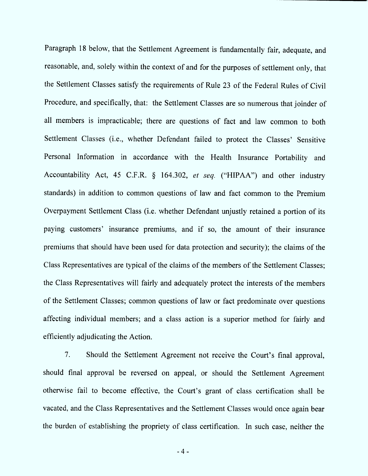Paragraph 18 below, that the Settlement Agreement is fundamentally fair, adequate, and reasonable, and, solely within the context of and for the purposes of settlement only, that the Settlement Classes satisfy the requirements of Rule 23 of the Federal Rules of Civil Procedure, and specifically, that: the Settlement Classes are so numerous that joinder of all members is impracticable; there are questions of fact and law common to both Settlement Classes (i.e., whether Defendant failed to protect the Classes' Sensitive Personal Information in accordance with the Health Insurance Portability and Accountability Act, 45 C.F.R.  $\S$  164.302, et seq. ("HIPAA") and other industry standards) in addition to common questions of law and fact common to the Premium Overpayment Settlement Class (i.e. whether Defendant unjustly retained a portion of its paying customers' insurance premiums, and if so, the amount of their insurance premiums that should have been used for data protection and security); the claims of the Class Representatives are typical of the claims of the members of the Settlement Classes; the Class Representatives will fairly and adequately protect the interests of the members of the Settlement Classes; common questions of law or fact predominate over questions affecting individual members; and a class action is a superior method for fairly and efficiently adjudicating the Action.

 $7<sub>1</sub>$ Should the Settlement Agreement not receive the Court's final approval, should final approval be reversed on appeal, or should the Settlement Agreement otherwise fail to become effective, the Court's grant of class certification shall be vacated, and the Class Representatives and the Settlement Classes would once again bear the burden of establishing the propriety of class certification. In such case, neither the

 $-4-$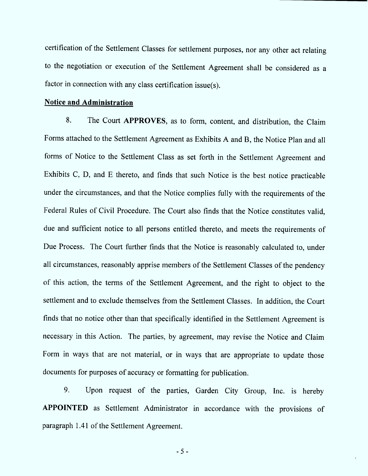certification of the Settlement Classes for settlement purposes, nor any other act relating to the negotiation or execution of the Settlement Agreement shall be considered as a factor in connection with any class certification issue $(s)$ .

#### Notice and Administration

8. The Court APPROVES, as to form, content, and distribution, the Claim Forms attached to the Settlement Agreement as Exhibits A and B, the Notice Plan and all forms of Notice to the Settlement Class as set forth in the Settlement Agreement and Exhibits C, D, and E thereto, and finds that such Notice is the best notice practicable under the circum stances, and that the Notice complies fully with the requirements of the Federal Rules of Civil Procedure. The Court also finds that the Notice constitutes valid, due and sufficient notice to all persons entitled thereto, and meets the requirements of Due Process. The Court further finds that the Notice is reasonably calculated to, under all circum stances, reasonably apprise members of the Settlement Classes of the pendency of this action, the terms of the Settlement Agreement, and the right to object to the settlement and to exclude themselves from the Settlement Classes. In addition, the Court finds that no notice other than that specifically identified in the Settlement Agreement is necessary in this Action. The parties, by agreement, may revise the Notice and Claim Form in ways that are not material, or in ways that are appropriate to update those documents for purposes of accuracy or formatting for publication.

Upon request of the parties, Garden City Group, Inc. is hereby 9. APPOINTED as Settlement Administrator in accordance with the provisions of paragraph 1.41 of the Settlement Agreement.

- 5 -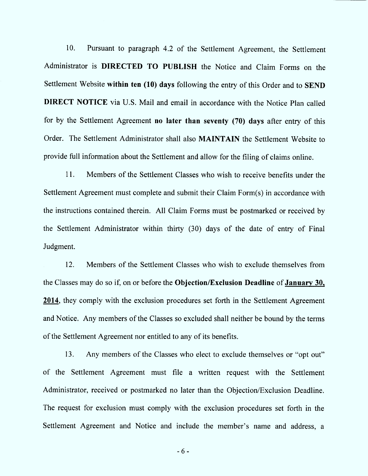10. Pursuant to paragraph 4.2 of the Settlement Agreement, the Settlement Administrator is DIRECTED TO PUBLISH the Notice and Claim Forms on the Settlement Website within ten (10) days following the entry of this Order and to SEND **DIRECT NOTICE** via U.S. Mail and email in accordance with the Notice Plan called for by the Settlement Agreement no later than seventy (70) days after entry of this Order. The Settlement Administrator shall also **MAINTAIN** the Settlement Website to provide full information about the Settlement and allow for the filing of claims online.

11. Members of the Settlement Classes who wish to receive benefits under the Settlement Agreement must complete and submit their Claim Form(s) in accordance with the instructions contained therein. All Claim Forms must be postmarked or received by the Settlement Administrator within thirty (30) days of the date of entry of Final Judgment.

12. M embers of the Settlement Classes who wish to exclude themselves from the Classes may do so if, on or before the Objection/Exclusion Deadline of January 30, 2014, they comply with the exclusion procedures set forth in the Settlement Agreement and Notice. Any members of the Classes so excluded shall neither be bound by the terms of the Settlement Agreement nor entitled to any of its benefits.

13. Any members of the Classes who elect to exclude themselves or "opt out" of the Settlement Agreement must file a written request with the Settlement Administrator, received or postmarked no later than the Objection/Exelusion Deadline. The request for exclusion must comply with the exclusion procedures set forth in the Settlement Agreement and Notice and include the member's name and address, a

- 6 -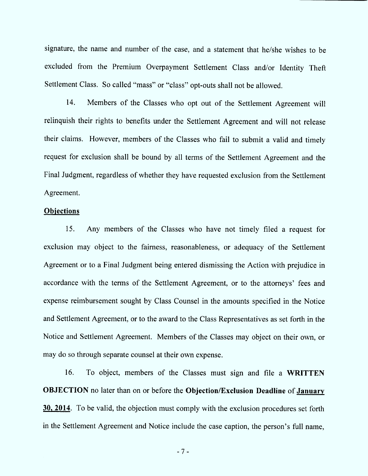signature, the name and number of the case, and a statement that he/she wishes to be excluded from the Premium Overpayment Settlement Class and/or Identity Theft Settlement Class. So called "mass" or "class" opt-outs shall not be allowed.

14. Members of the Classes who opt out of the Settlement Agreement will relinquish their rights to benefits under the Settlement Agreement and will not release their claims. However, members of the Classes who fail to submit a valid and timely request for exclusion shall be bound by all terms of the Settlement Agreement and the Final Judgment, regardless of whether they have requested exclusion from the Settlement Agreement.

### **Objections**

15. exclusion may object to the fairness, reasonableness, or adequacy of the Settlement Any members of the Classes who have not timely filed a request for Agreement or to a Final Judgment being entered dismissing the Action with prejudice in accordance with the terms of the Settlement Agreement, or to the attorneys' fees and expense reimbursement sought by Class Counsel in the amounts specified in the Notice and Settlement Agreement, or to the award to the Class Representatives as set forth in the Notice and Settlement Agreement. Members of the Classes may object on their own, or may do so through separate counsel at their own expense.

To object, members of the Classes must sign and file a WRITTEN 16. **OBJECTION** no later than on or before the Objection/Exclusion Deadline of January 30, 2014. To be valid, the objection must comply with the exclusion procedures set forth in the Settlement Agreement and Notice include the case caption, the person's full name,

 $-7-$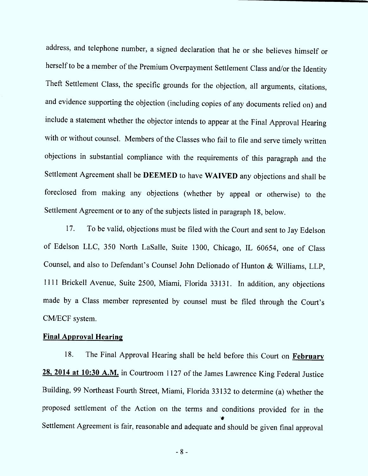address, and telephone num ber, a signed declaration that he or she believes him self or herself to be a member of the Premium Overnayment Settlement Class and/or the Identity y Theft Settlement Class, the specific grounds for the objection, all arguments, citations, and evidence supporting the objection (including copies of any documents relied on) and include a statement whether the objector intends to appear at the Final Approval Hearing with or without counsel. Members of the Classes who fail to file and serve timely written objections in substantial compliance with the requirements of this paragraph and the Settlement Agreement shall be DEEMED to have WAIVED any objections and shall be foreclosed from making any objections (whether by appeal or othenvise) to the Settlement Agreement or to any of the subjects listed in paragraph 18, below.

17. To be valid, objections must be filed with the Court and sent to Jay Edelson of Edelson LLC, 350 North LaSalle, Suite 1300, Chicago, IL 60654, one of Class Counsel, and also to Defendant's Counsel John Delionado of Hunton & Williams, LLP, 1111 Brickell Avenue, Suite 2500, Miami, Florida 33131. In addition, any objections made by a Class member represented by counsel must be filed through the Court's CM/ECF system.

## Final Approval Hearing

18. 28, 2014 at 10:30 A.M. in Courtroom 1127 of the James Lawrence King Federal Justice The Final Approval Hearing shall be held before this Court on February Building, 99 Northeast Fourth Street, Miami, Florida 33132 to determine (a) whether the proposed settlement of the Action on the terms and conditions provided for in the ''# Settlement Agreement is fair, reasonable and adequate and should be given final approval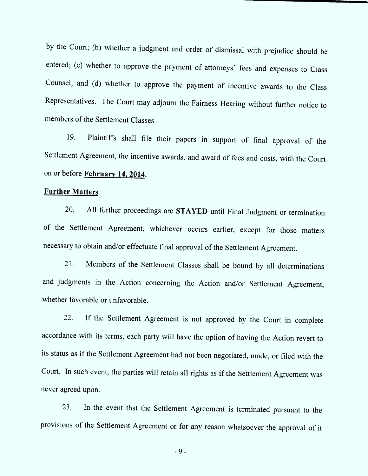by the Court; (b) whether a judgment and order of dismissal with prejudice should b<sup>e</sup> entered; (c) whether to approve the payment of attorneys' fees and expenses to Class Counsel; and (d) whether to approve the payment of incentive awards to the Class Representatives. The Court may adjourn the Fairness Hearing without further notice to members of the Settlement Classes

19. Plaintiffs shall file their papers in support of final approval of the Settlement Agreement, the incentive awards, and award of fees and costs, with the Court on or before February 14. 2914.

## **Further Matters**

20. All further proceedings are STAYED until Final Judgment or termination of the Settlement Agreement, whichever occurs earlier, except for those matters necessary to obtain and/or effectuate final approval of the Settlement Agreement.

21. Members of the Settlement Classes shall be bound by all determinations and judgments in the Action concerning the Action and/or Settlement Agreement, whether favorable or unfavorable.

22. If the Settlement Agreement is not approved by the Court in complete accordance with its terms, each party will have the option of having the Action revert to its status as if the Settlement Agreement had not been negotiated, made, or filed with the Court. In such event, the parties will retain all rights as if the Settlement Agreement was never agreed upon.

23. In the event that the Settlement Agreement is terminated pursuant to the provisions of the Settlement Agreement or for any reason whatsoever the approval of it

- 9 -